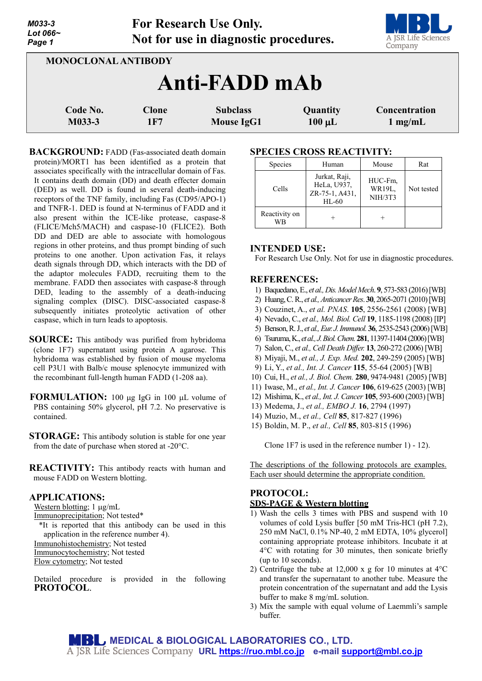| M033-3<br>Lot 066~<br>Page 1 |                     | For Research Use Only.<br>Not for use in diagnostic procedures. |                         | A JSR Life Sciences<br>Company |
|------------------------------|---------------------|-----------------------------------------------------------------|-------------------------|--------------------------------|
| <b>MONOCLONAL ANTIBODY</b>   |                     |                                                                 |                         |                                |
|                              |                     | Anti-FADD mAb                                                   |                         |                                |
| Code No.<br>M033-3           | <b>Clone</b><br>1F7 | <b>Subclass</b><br><b>Mouse IgG1</b>                            | Quantity<br>$100 \mu L$ | Concentration<br>$1$ mg/mL     |

**BACKGROUND:** FADD (Fas-associated death domain protein)/MORT1 has been identified as a protein that associates specifically with the intracellular domain of Fas. It contains death domain (DD) and death effecter domain (DED) as well. DD is found in several death-inducing receptors of the TNF family, including Fas (CD95/APO-1) and TNFR-1. DED is found at N-terminus of FADD and it also present within the ICE-like protease, caspase-8 (FLICE/Mch5/MACH) and caspase-10 (FLICE2). Both DD and DED are able to associate with homologous regions in other proteins, and thus prompt binding of such proteins to one another. Upon activation Fas, it relays death signals through DD, which interacts with the DD of the adaptor molecules FADD, recruiting them to the membrane. FADD then associates with caspase-8 through DED, leading to the assembly of a death-inducing signaling complex (DISC). DISC-associated caspase-8 subsequently initiates proteolytic activation of other caspase, which in turn leads to apoptosis.

**SOURCE:** This antibody was purified from hybridoma (clone 1F7) supernatant using protein A agarose. This hybridoma was established by fusion of mouse myeloma cell P3U1 with Balb/c mouse splenocyte immunized with the recombinant full-length human FADD (1-208 aa).

**FORMULATION:** 100 µg IgG in 100 µL volume of PBS containing 50% glycerol, pH 7.2. No preservative is contained.

**STORAGE:** This antibody solution is stable for one year from the date of purchase when stored at -20°C.

**REACTIVITY:** This antibody reacts with human and mouse FADD on Western blotting.

#### **APPLICATIONS:**

Western blotting; 1  $\mu$ g/mL

Immunoprecipitation; Not tested\*

\*It is reported that this antibody can be used in this application in the reference number 4). Immunohistochemistry; Not tested

Immunocytochemistry; Not tested

Flow cytometry; Not tested

Detailed procedure is provided in the following **PROTOCOL**.

#### **SPECIES CROSS REACTIVITY:**

| Species             | Human                                                     | Mouse                        | Rat        |
|---------------------|-----------------------------------------------------------|------------------------------|------------|
| Cells               | Jurkat, Raji,<br>HeLa, U937,<br>ZR-75-1, A431,<br>$HL-60$ | HUC-Fm,<br>WR19L,<br>NIH/3T3 | Not tested |
| Reactivity on<br>WB |                                                           |                              |            |

### **INTENDED USE:**

For Research Use Only. Not for use in diagnostic procedures.

## **REFERENCES:**

- 1) Baquedano,E., *et al.,Dis.Model Mech*. **9**, 573-583 (2016) [WB]
- 2) Huang, C. R., *et al., Anticancer Res.* **30**, 2065-2071 (2010) [WB]
- 3) Couzinet, A., *et al. PNAS*. **105**, 2556-2561 (2008) [WB]
- 4) Nevado, C., *et al., Mol. Biol. Cell* **19**, 1185-1198 (2008) [IP]
- 5) Benson,R. J., *et al., Eur. J. Immunol.* **36**, 2535-2543 (2006) [WB]
- 6) Tsuruma, K., *et al., J. Biol. Chem.***281**, 11397-11404 (2006)[WB]
- 7) Salon, C., *et al., Cell Death Differ.* **13**, 260-272 (2006) [WB]
- 8) Miyaji, M., *et al., J. Exp. Med.* **202**, 249-259 (2005) [WB]
- 9) Li, Y., *et al., Int. J. Cancer* **115**, 55-64 (2005) [WB]
- 10) Cui, H., *et al., J. Biol. Chem.* **280**, 9474-9481 (2005) [WB]
- 11) Iwase, M., *et al., Int. J. Cancer* **106**, 619-625 (2003) [WB]
- 12) Mishima, K., *et al., Int. J. Cancer* **105**, 593-600 (2003) [WB]
- 13) Medema, J., *et al., EMBO J.* **16**, 2794 (1997)
- 14) Muzio, M., *et al., Cell* **85**, 817-827 (1996)
- 15) Boldin, M. P., *et al., Cell* **85**, 803-815 (1996)

Clone 1F7 is used in the reference number 1) - 12).

The descriptions of the following protocols are examples. Each user should determine the appropriate condition.

# **PROTOCOL: SDS-PAGE & Western blotting**

- 1) Wash the cells 3 times with PBS and suspend with 10 volumes of cold Lysis buffer [50 mM Tris-HCl (pH 7.2), 250 mM NaCl, 0.1% NP-40, 2 mM EDTA, 10% glycerol] containing appropriate protease inhibitors. Incubate it at 4°C with rotating for 30 minutes, then sonicate briefly (up to 10 seconds).
- 2) Centrifuge the tube at 12,000 x g for 10 minutes at  $4^{\circ}$ C and transfer the supernatant to another tube. Measure the protein concentration of the supernatant and add the Lysis buffer to make 8 mg/mL solution.
- 3) Mix the sample with equal volume of Laemmli's sample buffer.

**MEDICAL & BIOLOGICAL LABORATORIES CO., LTD. URL [https://ruo.mbl.co.jp](https://ruo.mbl.co.jp/) e-mail [support@mbl.co.jp](mailto:support@mbl.co.jp)**